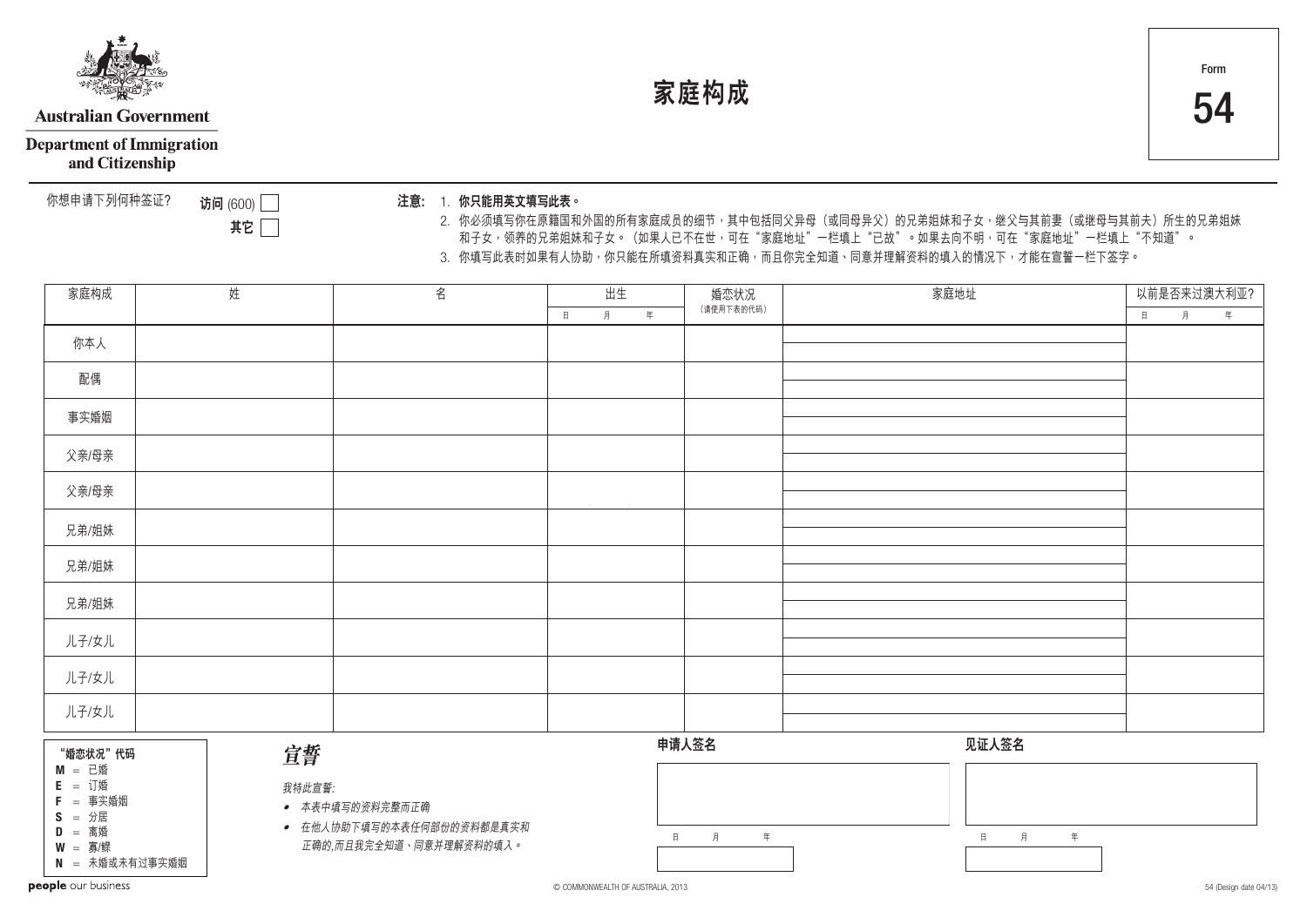

# **Australian Government**

**Department of Immigration** 

and Citizenship

你想申請下列何種簽証﹖ 1. **你只能用英文填寫此表。 注意﹕**

**訪問** (600) **其它**

2. 你必须填写你在原籍国和外国的所有家庭成员的细节,其中包括同父异母(或同母异父)的兄弟姐妹和子女,继父与其前妻(或继母与其前夫)所生的兄弟姐妹 和子女,领养的兄弟姐妹和子女。(如果人已不在世,可在"家庭地址"一栏填上"已故"。如果去向不明,可在"家庭地址"一栏填上"不知道"。 3. 你填写此表时如果有人协助,你只能在所填资料真实和正确,而且你完全知道、同意并理解资料的填入的情况下,才能在宣誓一栏下签字。

**家庭構成** 54

| 姓<br>家庭构成                                                                                                                          |  | 名      | 出生                                                                      |                      | 婚恋状况 | 家庭地址             |  | 以前是否来过澳大利亚?      |             |   |   |
|------------------------------------------------------------------------------------------------------------------------------------|--|--------|-------------------------------------------------------------------------|----------------------|------|------------------|--|------------------|-------------|---|---|
|                                                                                                                                    |  |        |                                                                         | $\, \beta$<br>$\Box$ | 年    | (请使用下表的代码)       |  |                  | $\mathbb H$ | 月 | 年 |
| 你本人                                                                                                                                |  |        |                                                                         |                      |      |                  |  |                  |             |   |   |
| 配偶                                                                                                                                 |  |        |                                                                         |                      |      |                  |  |                  |             |   |   |
| 事实婚姻                                                                                                                               |  |        |                                                                         |                      |      |                  |  |                  |             |   |   |
| 父亲/母亲                                                                                                                              |  |        |                                                                         |                      |      |                  |  |                  |             |   |   |
| 父亲/母亲                                                                                                                              |  |        |                                                                         |                      |      |                  |  |                  |             |   |   |
| 兄弟/姐妹                                                                                                                              |  |        |                                                                         |                      |      |                  |  |                  |             |   |   |
| 兄弟/姐妹                                                                                                                              |  |        |                                                                         |                      |      |                  |  |                  |             |   |   |
| 兄弟/姐妹                                                                                                                              |  |        |                                                                         |                      |      |                  |  |                  |             |   |   |
| 儿子/女儿                                                                                                                              |  |        |                                                                         |                      |      |                  |  |                  |             |   |   |
| 儿子/女儿                                                                                                                              |  |        |                                                                         |                      |      |                  |  |                  |             |   |   |
| 儿子/女儿                                                                                                                              |  |        |                                                                         |                      |      |                  |  |                  |             |   |   |
| "婚恋状况"代码                                                                                                                           |  | 宣誓     |                                                                         |                      |      | 申请人签名            |  | 见证人签名            |             |   |   |
| $M$ = 已婚<br>$E = \text{i}$<br>$F = \overline{F}$ 事实婚姻<br>$S = \frac{1}{2}$ 居<br>$D =$ 离婚<br>$W = \frac{1}{2}$ /鳏<br>N = 未婚或未有过事实婚姻 |  | 我特此宣誓: | ● 本表中填写的资料完整而正确<br>• 在他人协助下填写的本表任何部份的资料都是真实和<br>正确的,而且我完全知道、同意并理解资料的填入。 |                      |      | 月<br>$\Box$<br>年 |  | 月<br>年<br>$\Box$ |             |   |   |